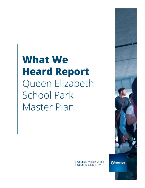# **What We Heard Report** Queen Elizabeth **School Park Master Plan**



**Edmonton**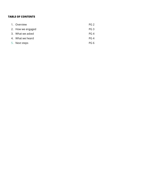### **TABLE OF CONTENTS**

| PG <sub>2</sub> |
|-----------------|
| PG <sub>3</sub> |
| <b>PG 4</b>     |
| <b>PG 4</b>     |
| PG 6            |
|                 |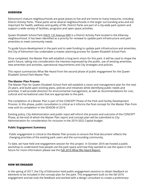#### **OVERVIEW**

Edmonton's mature neighbourhoods are great places to live and are home to many treasures, including District Activity Parks. These parks serve several neighbourhoods in the larger surrounding area and are important for health, wellness and quality of life. District Parks are part of a city-wide park system and support a wide variety of facilities, programs and open space activities.

Queen Elizabeth School Park (9425 132 [Avenue](https://www.google.ca/maps/place/9425+132+Ave+NW,+Edmonton,+AB+T5E+0Y4/@53.5907732,-113.4877977,17z/data=!3m1!4b1!4m5!3m4!1s0x53a0236581d222dd:0xee4b04f7adfe1cd1!8m2!3d53.59077!4d-113.485609?hl=en&authuser=0) NW) is a District Activity Park located in the Killarney neighbourhood. It has been identified as a priority for renewal to update park infrastructure and park amenities to meet community needs.

To guide future development in the park and to seek funding to update park infrastructure and amenities, the City of Edmonton has undertaken a master planning process for Queen Elizabeth School Park.

Once completed, the Master Plan will establish a long term vision for this park. It will be used to shape the park's future, taking into consideration the interests expressed by the public, use of existing amenities, new amenities and activities, operational requirements and City strategies and policies.

This report summarizes What We Heard from the second phase of public engagement for the Queen Elizabeth School Park Master Plan.

#### **The Master Plan Process**

The Master Plan for Queen Elizabeth School Park will establish a vision and management plan for the next 25 years, and build upon existing plans, policies and initiatives while identifying public needs and priorities. It will provide direction for environmental management, as well as recommendations for civic, cultural and recreational uses that are appropriate to the park.

The completion of a Master Plan is part of the CONCEPT Phase of the Park and Facility Development Process. In this phase, public consultation is critical as it informs the final concept for the Master Plan from now until its completion in the SEASON of 2019.

Existing policy, City Administration and public input will inform the process and outcome of the CONCEPT Phase, at the end of which the Master Plan report and concept plan will be submitted to City Administration for consideration for inclusion in the 2019-2022 Capital budget.

#### **Public Engagement Summary**

Public engagement is critical to the Master Plan process to ensure the final document reflects the changing priorities of the existing park users and the surrounding community.

To date, we have held one engagement session for this project. In October 2016 we hosted a public workshop to understand how people use the park space and how they wanted to use the space in the future for more information please see the Fall 2016 What We Heard [Report.](https://www.edmonton.ca/documents/PDF/QE_Glengarry_DPMP_2016_Survey-Roll_Report.pdf)

#### **HOW WE ENGAGED**

In the spring of 2017, the City of Edmonton held public engagement sessions to obtain feedback on elements to be included in the concept plan for the park. This engagement built on the fall 2016 engagement and we took the feedback and worked with a design consultant to create a preliminary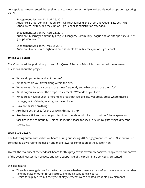concept idea. We presented that preliminary concept idea at multiple invite-only workshops during spring 2017:

Engagement Session #1: April 26, 2017 Audience: School administration from Killarney Junior High School and Queen Elizabeth High School were invited. Killarney Junior High School administration attended.

Engagement Session #2: April 26, 2017 Audience: Killarney Community League, Glengarry Community League and on site sportsfield user groups were invited.

Engagement Session #3: May 25 2017 Audience: Grade seven, eight and nine students from Killarney Junior High School.

## **WHAT WE ASKED**

The City shared the preliminary concept for Queen Elizabeth School Park and asked the following questions about the project:

- Where do you enter and exit the site?
- What paths do you travel along within the site?
- What areas of the park do you use most frequently and what do you use them for?
- What do you like about the proposed elements? What don't you like?
- What areas have issues? For example: areas that feel unsafe, wet areas, areas where there is damage, lack of shade, seating, garbage bins etc.
- Have we missed anything?
- Are there better uses for the space in this park site?
- Are there activities that you, your family or friends would like to do but don't have space for facilities in the community? This could include space for social or cultural gatherings, different sports, etc.

## **WHAT WE HEARD**

The following summarizes what we heard during our spring 2017 engagement sessions. All input will be considered as we refine the design and move towards completion of the Master Plan.

Overall the majority of the feedback heard for this project was extremely positive. People were supportive of the overall Master Plan process and were supportive of the preliminary concepts presented.

We also heard:

- There is a strong desire for basketball courts whether these are new infrastructure or whether they take the place of other infrastructure, like the existing tennis courts.
- Desire for a play area but the type of play elements were debated. Possible play elements